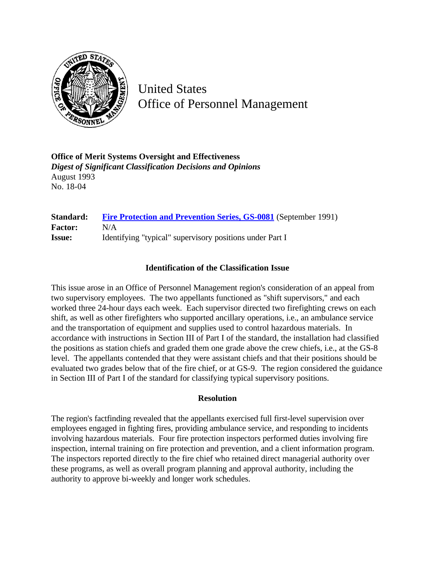

United States Office of Personnel Management

**Office of Merit Systems Oversight and Effectiveness** *Digest of Significant Classification Decisions and Opinions* August 1993 No. 18-04

**Standard:** [Fire Protection and Prevention Series, GS-0081](http://www.opm.gov/hr/fedclass/gs0081.pdf) (September 1991) **Factor:** N/A **Issue:** Identifying "typical" supervisory positions under Part I

## **Identification of the Classification Issue**

This issue arose in an Office of Personnel Management region's consideration of an appeal from two supervisory employees. The two appellants functioned as "shift supervisors," and each worked three 24-hour days each week. Each supervisor directed two firefighting crews on each shift, as well as other firefighters who supported ancillary operations, i.e., an ambulance service and the transportation of equipment and supplies used to control hazardous materials. In accordance with instructions in Section III of Part I of the standard, the installation had classified the positions as station chiefs and graded them one grade above the crew chiefs, i.e., at the GS-8 level. The appellants contended that they were assistant chiefs and that their positions should be evaluated two grades below that of the fire chief, or at GS-9. The region considered the guidance in Section III of Part I of the standard for classifying typical supervisory positions.

## **Resolution**

The region's factfinding revealed that the appellants exercised full first-level supervision over employees engaged in fighting fires, providing ambulance service, and responding to incidents involving hazardous materials. Four fire protection inspectors performed duties involving fire inspection, internal training on fire protection and prevention, and a client information program. The inspectors reported directly to the fire chief who retained direct managerial authority over these programs, as well as overall program planning and approval authority, including the authority to approve bi-weekly and longer work schedules.